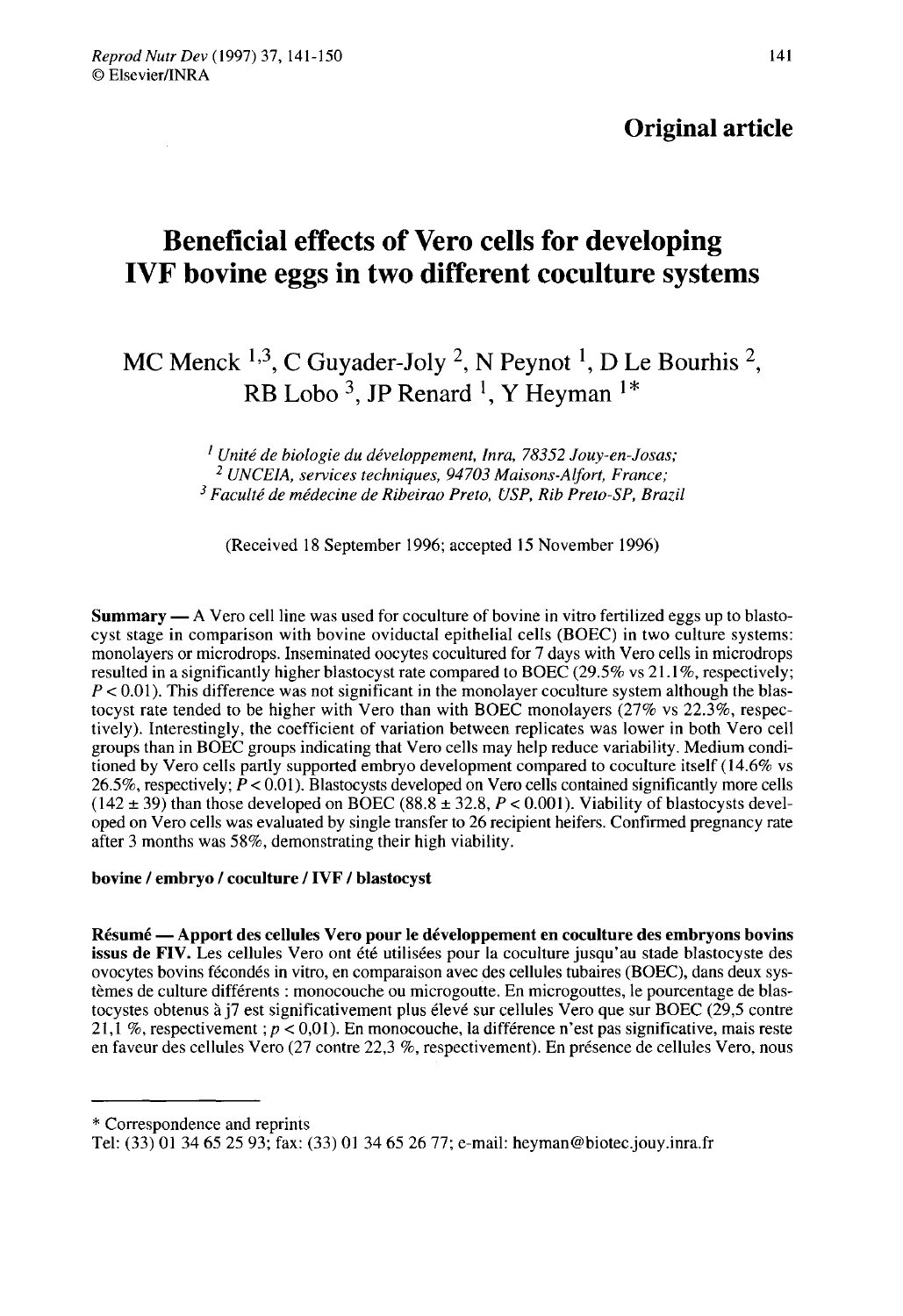## Original article

# Beneficial effects of Vero cells for developing IVF bovine eggs in two different coculture systems

## MC Menck <sup>1,3</sup>, C Guyader-Joly <sup>2</sup>, N Peynot <sup>1</sup>, D Le Bourhis <sup>2</sup>, RB Lobo<sup>3</sup>, JP Renard <sup>1</sup>, Y Heyman<sup>1\*</sup>

 $<sup>1</sup>$  Unité de biologie du développement, Inra, 78352 Jouy-en-Josas;</sup> <sup>2</sup> UNCEIA, services techniques, 94703 Maisons-Alfort, France; <sup>3</sup> Faculté de médecine de Ribeirao Preto, USP, Rib Preto-SP, Brazil

(Received 18 September 1996; accepted 15 November 1996)

Summary ― A Vero cell line was used for coculture of bovine in vitro fertilized eggs up to blastocyst stage in comparison with bovine oviductal epithelial cells (BOEC) in two culture systems: monolayers or microdrops. Inseminated oocytes cocultured for 7 days with Vero cells in microdrops resulted in a significantly higher blastocyst rate compared to BOEC (29.5% vs 21.1%, respectively;  $P < 0.01$ ). This difference was not significant in the monolayer coculture system although the blastocyst rate tended to be higher with Vero than with BOEC monolayers  $(27\% \text{ vs } 22.3\%$ , respectively). Interestingly, the coefficient of variation between replicates was lower in both Vero cell groups than in BOEC groups indicating that Vero cells may help reduce variability. Medium conditioned by Vero cells partly supported embryo development compared to coculture itself (14.6% vs 26.5%, respectively;  $\dot{P}$  < 0.01). Blastocysts developed on Vero cells contained significantly more cells  $(142 \pm 39)$  than those developed on BOEC  $(88.8 \pm 32.8, P < 0.001)$ . Viability of blastocysts developed on Vero cells was evaluated by single transfer to 26 recipient heifers. Confirmed pregnancy rate after 3 months was 58%, demonstrating their high viability.

#### bovine / embryo / coculture / IVF / blastocyst

Résumé ― Apport des cellules Vero pour le développement en coculture des embryons bovins issus de FIV. Les cellules Vero ont été utilisées pour la coculture jusqu'au stade blastocyste des ovocytes bovins fécondés in vitro, en comparaison avec des cellules tubaires (BOEC), dans deux systèmes de culture différents : monocouche ou microgoutte. En microgouttes, le pourcentage de blastocystes obtenus à j7 est significativement plus élevé sur cellules Vero que sur BOEC (29,5 contre 21,1 %, respectivement ;  $p < 0.01$ ). En monocouche, la différence n'est pas significative, mais reste en faveur des cellules Vero (27 contre 22,3 %, respectivement). En présence de cellules Vero, nous

<sup>\*</sup> Correspondence and reprints

Tel: (33) O1 34 65 25 93; fax: (33) O1 34 65 26 77; e-mail: heyman@biotec.jouy.inra.fr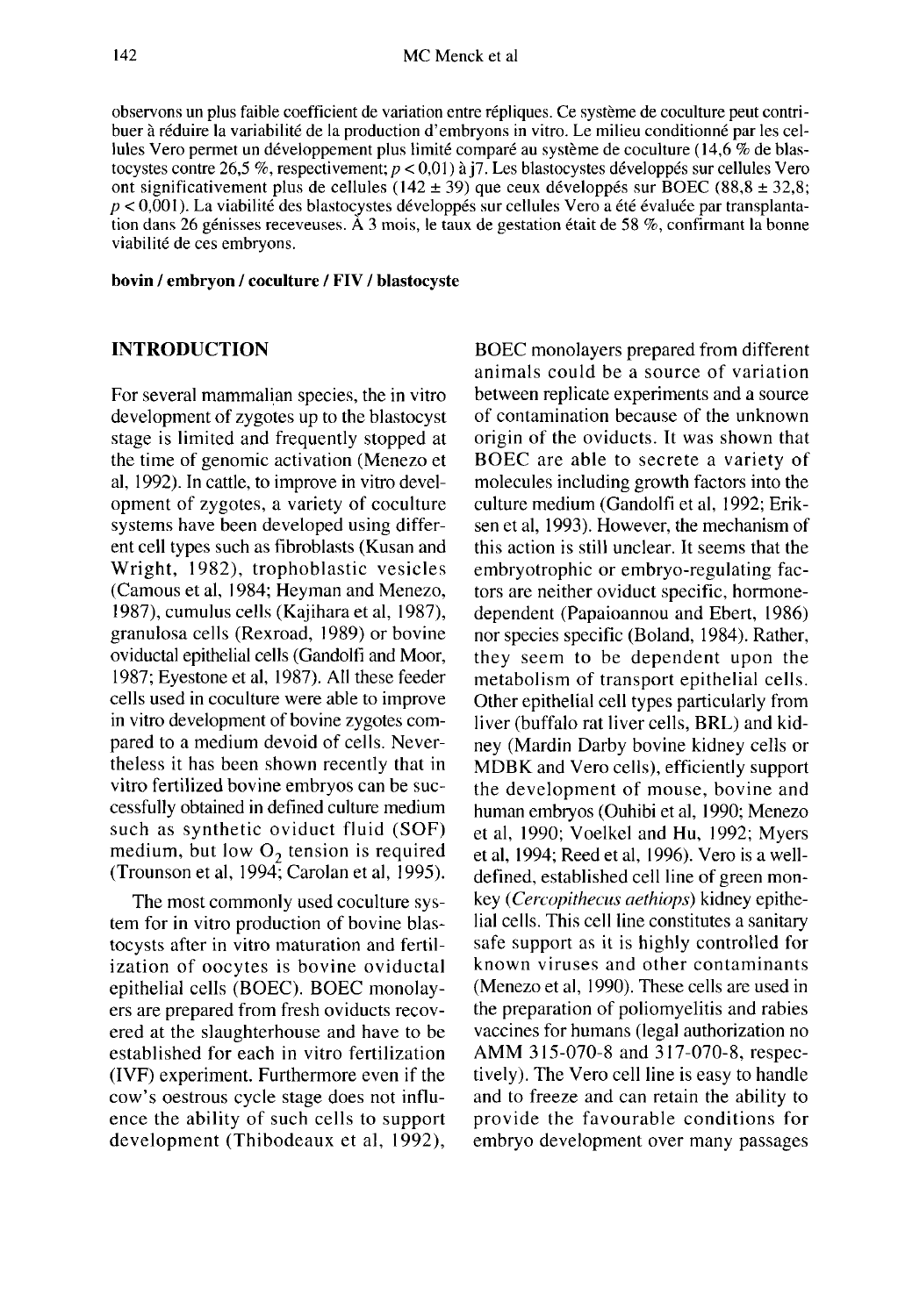observons un plus faible coefficient de variation entre répliques. Ce système de coculture peut contribuer à réduire la variabilité de la production d'embryons in vitro. Le milieu conditionné par les cellules Vero permet un développement plus limité comparé au système de coculture (14,6 % de blastocystes contre 26,5 %, respectivement;  $p < 0.01$ ) à j7. Les blastocystes développés sur cellules Vero ont significativement plus de cellules ( $142 \pm 39$ ) que ceux développés sur BOEC ( $88.8 \pm 32.8$ ;  $p < 0.001$ ). La viabilité des blastocystes développés sur cellules Vero a été évaluée par transplantation dans 26 génisses receveuses. A 3 mois, le taux de gestation était de 58 %, confirmant la bonne viabilité de ces embryons.

bovin / embryon / coculture / FIV / blastocyste

## INTRODUCTION

For several mammalian species, the in vitro development of zygotes up to the blastocyst stage is limited and frequently stopped at the time of genomic activation (Menezo et al, 1992). In cattle, to improve in vitro development of zygotes, a variety of coculture systems have been developed using different cell types such as fibroblasts (Kusan and Wright, 1982), trophoblastic vesicles (Camous et al, 1984; Heyman and Menezo, 1987), cumulus cells (Kajihara et al, 1987), granulosa cells (Rexroad, 1989) or bovine oviductal epithelial cells (Gandolfi and Moor, 1987; Eyestone et al, 1987). All these feeder cells used in coculture were able to improve in vitro development of bovine zygotes compared to a medium devoid of cells. Nevertheless it has been shown recently that in vitro fertilized bovine embryos can be successfully obtained in defined culture medium such as synthetic oviduct fluid (SOF) medium, but low  $O<sub>2</sub>$  tension is required (Trounson et al, 1994; Carolan et a], 1995).

The most commonly used coculture system for in vitro production of bovine blastocysts after in vitro maturation and fertilization of oocytes is bovine oviductal epithelial cells (BOEC). BOEC monolay ers are prepared from fresh oviducts recovered at the slaughterhouse and have to be established for each in vitro fertilization (IVF) experiment. Furthermore even if the cow's oestrous cycle stage does not influence the ability of such cells to support development (Thibodeaux et al, 1992),

BOEC monolayers prepared from different animals could be a source of variation between replicate experiments and a source of contamination because of the unknown origin of the oviducts. It was shown that BOEC are able to secrete a variety of molecules including growth factors into the culture medium (Gandolfi et al, 1992; Eriksen et al, 1993). However, the mechanism of this action is still unclear. It seems that the embryotrophic or embryo-regulating factors are neither oviduct specific, hormonedependent (Papaioannou and Ebert, 1986) nor species specific (Boland, 1984). Rather, they seem to be dependent upon the metabolism of transport epithelial cells. Other epithelial cell types particularly from liver (buffalo rat liver cells, BRL) and kidney (Mardin Darby bovine kidney cells or MDBK and Vero cells), efficiently support the development of mouse, bovine and human embryos (Ouhibi et al, 1990; Menezo et al, 1990; Voelkel and Hu, 1992; Myers et al, 1994; Reed et al, 1996). Vero is a welldefined, established cell line of green monkey (Cercopithecus aethiops) kidney epithelial cells. This cell line constitutes a sanitary safe support as it is highly controlled for known viruses and other contaminants (Menezo et al, 1990). These cells are used in the preparation of poliomyelitis and rabies vaccines for humans (legal authorization no AMM 315-070-8 and 317-070-8, respectively). The Vero cell line is easy to handle and to freeze and can retain the ability to provide the favourable conditions for embryo development over many passages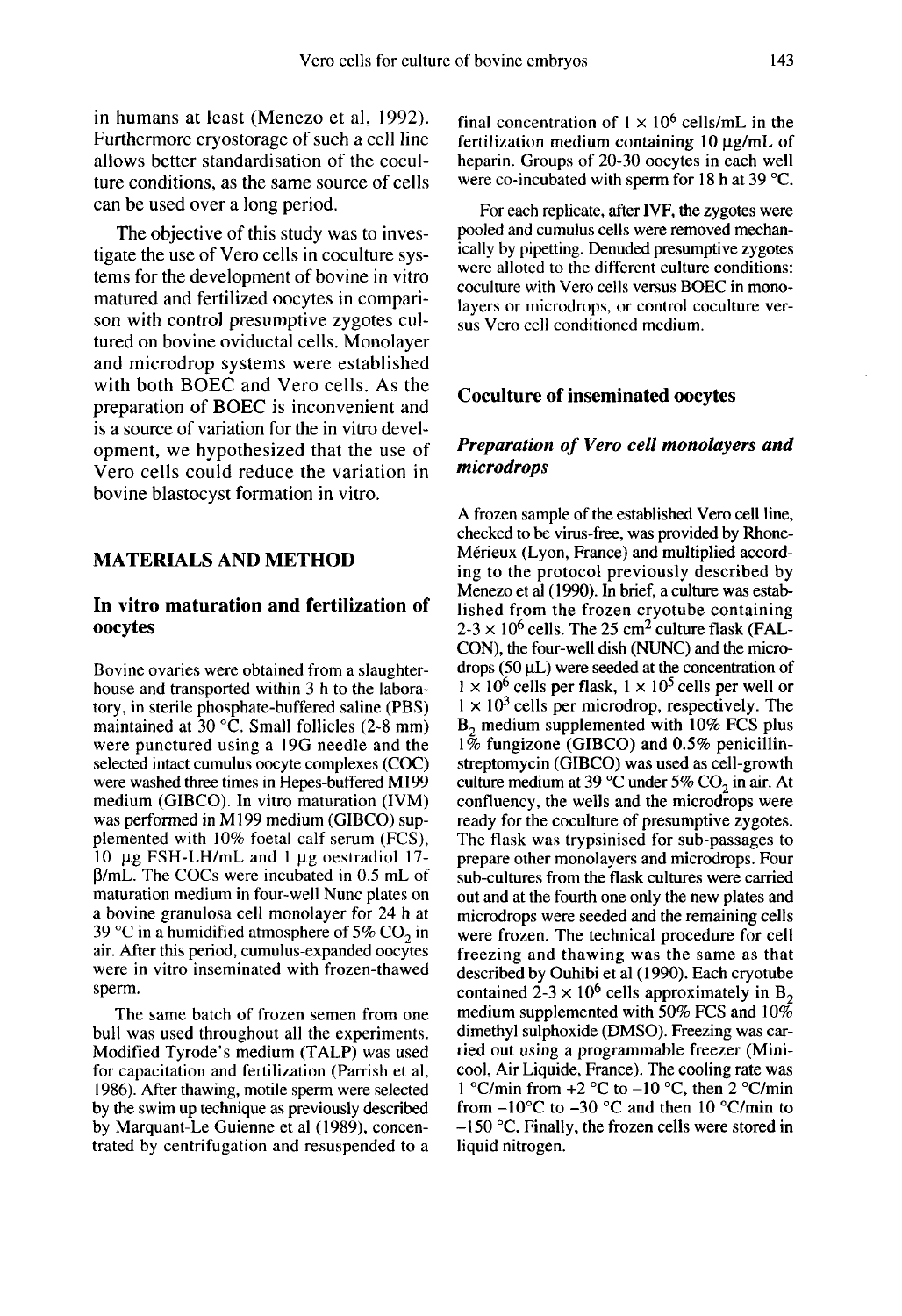in humans at least (Menezo et al, 1992). Furthermore cryostorage of such a cell line allows better standardisation of the coculture conditions, as the same source of cells can be used over a long period.

The objective of this study was to investigate the use of Vero cells in coculture systems for the development of bovine in vitro matured and fertilized oocytes in compari son with control presumptive zygotes cultured on bovine oviductal cells. Monolayer and microdrop systems were established with both BOEC and Vero cells. As the preparation of BOEC is inconvenient and is a source of variation for the in vitro development, we hypothesized that the use of Vero cells could reduce the variation in bovine blastocyst formation in vitro.

## MATERIALS AND METHOD

## In vitro maturation and fertilization of oocytes

Bovine ovaries were obtained from a slaughterhouse and transported within 3 h to the laboratory, in sterile phosphate-buffered saline (PBS) maintained at 30  $^{\circ}$ C. Small follicles (2-8 mm) were punctured using a 19G needle and the selected intact cumulus oocyte complexes (COC) were washed three times in Hepes-buffered M199 medium (GIBCO). In vitro maturation (IVM) was performed in M 199 medium (GIBCO) supplemented with 10% foetal calf serum (FCS), 10  $\mu$ g FSH-LH/mL and 1  $\mu$ g oestradiol 17plemented with 10% foetal calf serum (FCS),<br>10 μg FSH-LH/mL and 1 μg oestradiol 17-<br>β/mL. The COCs were incubated in 0.5 mL of<br>maturation medium in four-well Nunc plates on maturation medium in four-well Nunc plates on a bovine granulosa cell monolayer for 24 h at 39 °C in a humidified atmosphere of 5%  $CO<sub>2</sub>$  in air. After this period, cumulus-expanded oocytes were in vitro inseminated with frozen-thawed sperm.

The same batch of frozen semen from one bull was used throughout all the experiments. Modified Tyrode's medium (TALP) was used for capacitation and fertilization (Parrish et al, 1986). After thawing, motile sperm were selected by the swim up technique as previously described by Marquant-Le Guienne et al (1989), concentrated by centrifugation and resuspended to a final concentration of  $1 \times 10^6$  cells/mL in the fertilization medium containing 10 ug/mL of final concentration of  $1 \times 10^6$  cells/mL in the<br>fertilization medium containing 10  $\mu$ g/mL of<br>heparin. Groups of 20-30 oocytes in each well were co-incubated with sperm for 18 h at 39 °C.

For each replicate, after IVF, the zygotes were pooled and cumulus cells were removed mechanically by pipetting. Denuded presumptive zygotes were alloted to the different culture conditions: coculture with Vero cells versus BOEC in monolayers or microdrops, or control coculture versus Vero cell conditioned medium.

#### Coculture of inseminated oocytes

## Preparation of Vero cell monolayers and microdrops

A frozen sample of the established Vero cell line, checked to be virus-free, was provided by Rhone-Mérieux (Lyon, France) and multiplied according to the protocol previously described by Menezo et al (1990). In brief, a culture was established from the frozen cryotube containing  $2-3 \times 10^6$  cells. The 25 cm<sup>2</sup> culture flask (FAL-CON), the four-well dish (NUNC) and the microdrops  $(50 \mu L)$  were seeded at the concentration of  $1 \times 10^6$  cells per flask,  $1 \times 10^5$  cells per well or  $1 \times 10^3$  cells per microdrop, respectively. The  $B<sub>2</sub>$  medium supplemented with 10% FCS plus  $1\%$  fungizone (GIBCO) and 0.5% penicillinstreptomycin (GIBCO) was used as cell-growth culture medium at 39 °C under 5%  $CO<sub>2</sub>$  in air. At confluency, the wells and the microdrops were ready for the coculture of presumptive zygotes. The flask was trypsinised for sub-passages to prepare other monolayers and microdrops. Four sub-cultures from the flask cultures were carried out and at the fourth one only the new plates and microdrops were seeded and the remaining cells were frozen. The technical procedure for cell freezing and thawing was the same as that described by Ouhibi et al (1990). Each cryotube contained  $2-3 \times 10^6$  cells approximately in B<sub>2</sub> medium supplemented with 50% FCS and  $10\%$ dimethyl sulphoxide (DMSO). Freezing was carried out using a programmable freezer (Minicool, Air Liquide, France). The cooling rate was 1 °C/min from  $+2$  °C to  $-10$  °C, then 2 °C/min from  $-10^{\circ}$ C to  $-30^{\circ}$ C and then 10 °C/min to  $-150$  °C. Finally, the frozen cells were stored in liquid nitrogen.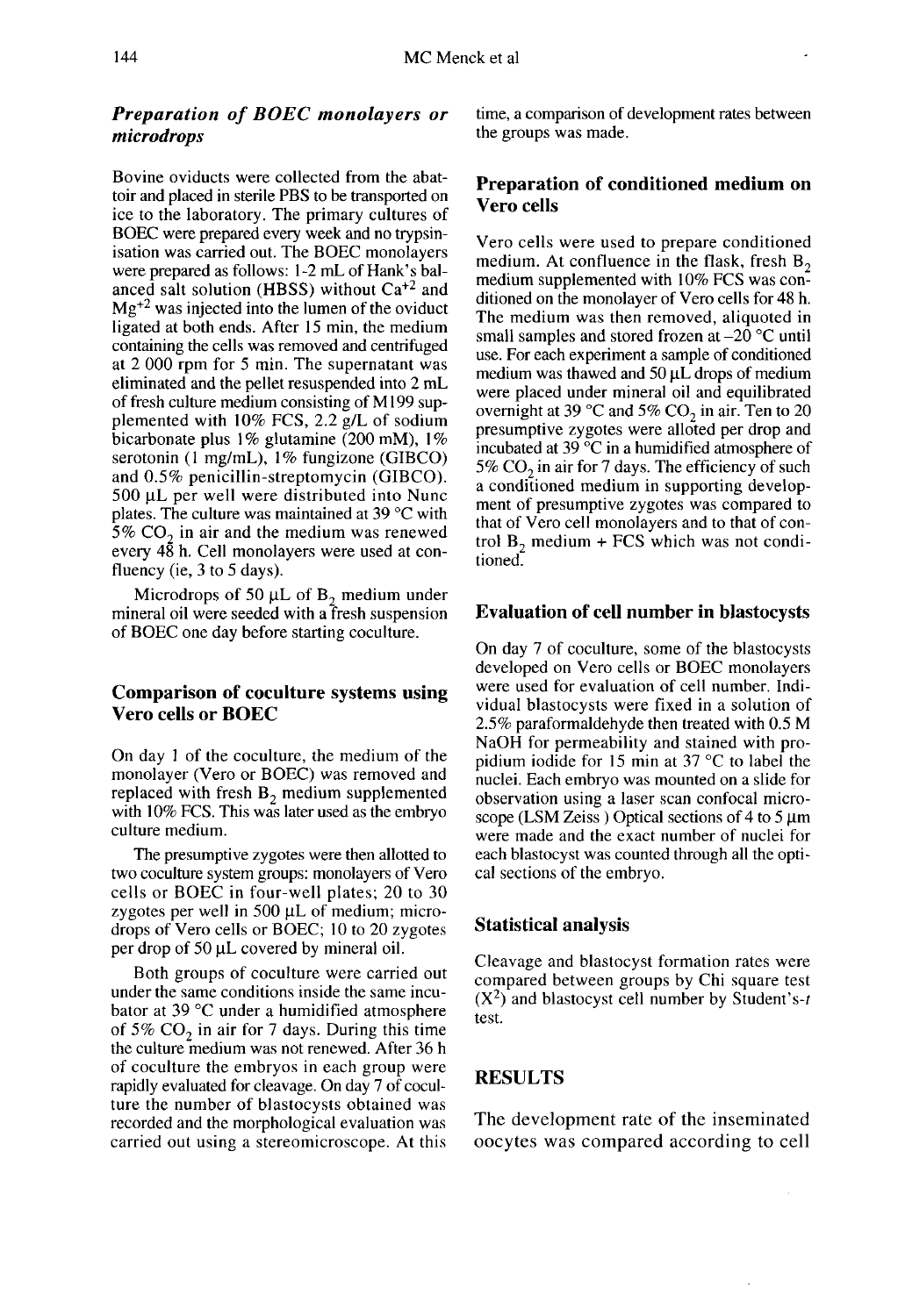## Preparation of BOEC monolayers or microdrops

Bovine oviducts were collected from the abattoir and placed in sterile PBS to be transported on ice to the laboratory. The primary cultures of BOEC were prepared every week and no trypsinisation was carried out. The BOEC monolayers were prepared as follows: 1-2 mL of Hank's balanced salt solution (HBSS) without  $Ca^{+2}$  and  $Mg<sup>+2</sup>$  was injected into the lumen of the oviduct ligated at both ends. After 15 min, the medium containing the cells was removed and centrifuged at 2 000 rpm for 5 min. The supernatant was eliminated and the pellet resuspended into 2 mL of fresh culture medium consisting of M 199 supplemented with 10% FCS, 2.2 g/L of sodium bicarbonate plus  $1\%$  glutamine (200 mM),  $1\%$ serotonin (1 mg/mL), 1% fungizone (GIBCO) and 0.5% penicillin-streptomycin (GIBCO). 500 µL per well were distributed into Nunc plates. The culture was maintained at 39 °C with<br>5% CO<sub>2</sub> in air and the medium was renewed<br>every 48 h. Cell monolayers were used at conevery 48 h. Cell monolayers were used at confluency (ie, 3 to 5 days).

Microdrops of 50  $\mu$ L of B<sub>2</sub> medium under mineral oil were seeded with a fresh suspension of BOEC one day before starting coculture.

#### Comparison of coculture systems using Vero cells or BOEC

On day I of the coculture, the medium of the monolayer (Vero or BOEC) was removed and replaced with fresh  $B<sub>2</sub>$  medium supplemented with 10% FCS. This was later used as the embryo culture medium.

The presumptive zygotes were then allotted to two coculture system groups: monolayers of Vero cells or BOEC in four-well plates; 20 to 30 zygotes per well in 500  $\mu$ L of medium; microdrops of Vero cells or BOEC; 10 to 20 zygotes zygotes per well in 500  $\mu$ L of medium; in drops of Vero cells or BOEC; 10 to 20 zyper drop of 50  $\mu$ L covered by mineral oil.

Both groups of coculture were carried out under the same conditions inside the same incubator at 39 °C under a humidified atmosphere of 5%  $CO<sub>2</sub>$  in air for 7 days. During this time the culture medium was not renewed. After 36 h of coculture the embryos in each group were rapidly evaluated for cleavage. On day 7 of coculture the number of blastocysts obtained was recorded and the morphological evaluation was carried out using a stereomicroscope. At this

time, a comparison of development rates between the groups was made.

#### Preparation of conditioned medium on Vero cells

Vero cells were used to prepare conditioned medium. At confluence in the flask, fresh  $B_2$ medium supplemented with 10% FCS was conditioned on the monolayer of Vero cells for 48 h. The medium was then removed, aliquoted in small samples and stored frozen at  $-20$  °C until use. For each experiment a sample of conditioned medium was thawed and 50  $\mu$ L drops of medium were placed under mineral oil and equilibrated<br>overnight at 39 °C and 5%  $CO_2$  in air. Ten to 20<br>presumptive zygotes were alloted per drop and presumptive zygotes were alloted per drop and incubated at 39 °C in a humidified atmosphere of<br>5%  $CO_2$  in air for 7 days. The efficiency of such<br>a conditioned medium in supporting developa conditioned medium in supporting develop ment of presumptive zygotes was compared to that of Vero cell monolayers and to that of control  $B_2$ , medium + FCS which was not conditioned.

#### Evaluation of cell number in blastocysts

On day 7 of coculture, some of the blastocysts developed on Vero cells or BOEC monolayers were used for evaluation of cell number. Individual blastocysts were fixed in a solution of 2.5% paraformaldehyde then treated with 0.5 M NaOH for permeability and stained with propidium iodide for 15 min at 37 °C to label the nuclei. Each embryo was mounted on a slide for observation using a laser scan confocal micro-<br>scope (LSM Zeiss) Optical sections of 4 to 5  $\mu$ m were made and the exact number of nuclei for each blastocyst was counted through all the optical sections of the embryo.

#### Statistical analysis

Cleavage and blastocyst formation rates were compared between groups by Chi square test  $(X^2)$  and blastocyst cell number by Student's-t test.

### RESULTS

The development rate of the inseminated oocytes was compared according to cell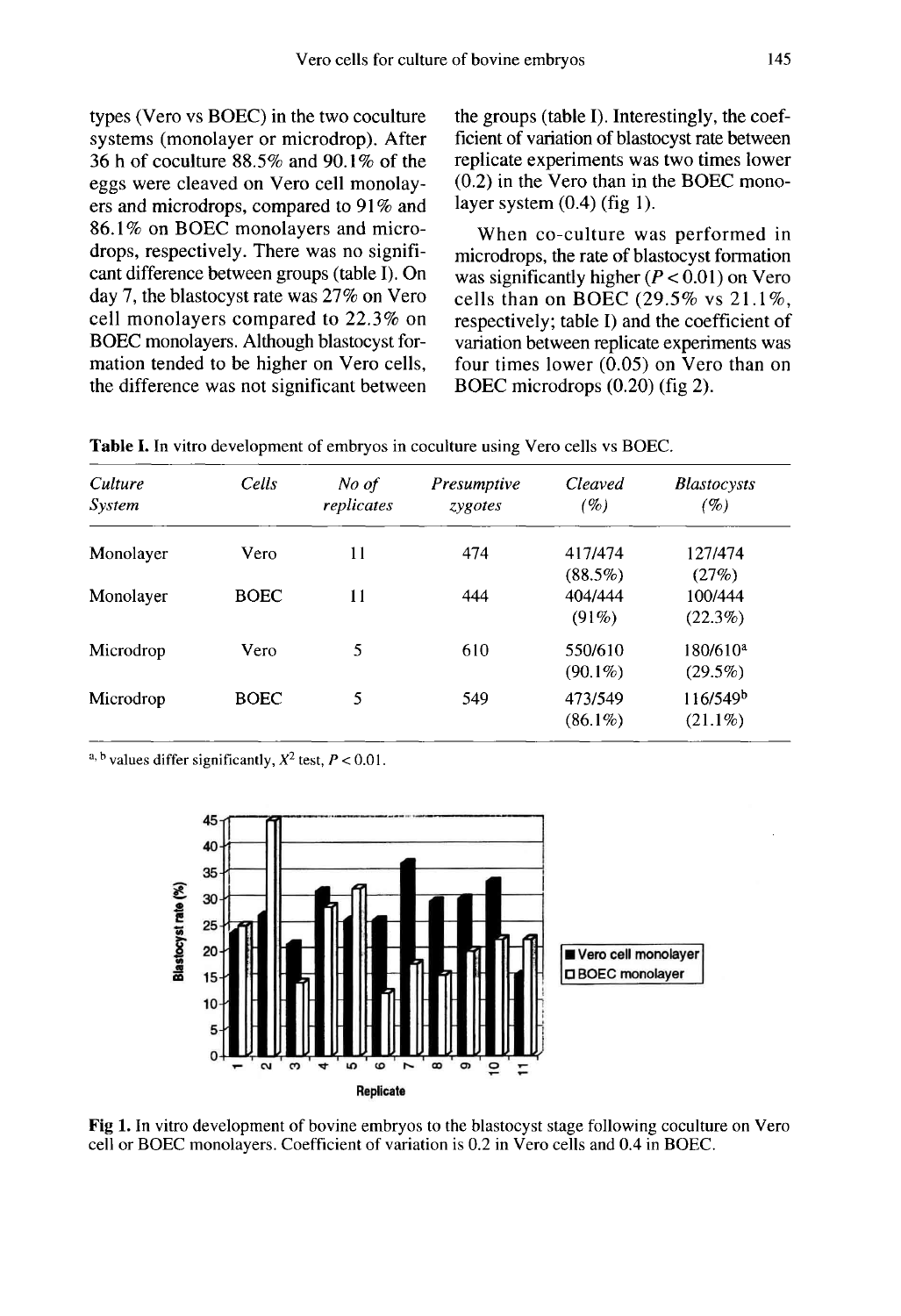types (Vero vs BOEC) in the two coculture systems (monolayer or microdrop). After 36 h of coculture 88.5% and 90.1% of the eggs were cleaved on Vero cell monolay ers and microdrops, compared to 91 % and 86.1 % on BOEC monolayers and microdrops, respectively. There was no signifi cant difference between groups (table I). On day 7, the blastocyst rate was 27% on Vero cell monolayers compared to 22.3% on BOEC monolayers. Although blastocyst formation tended to be higher on Vero cells, the difference was not significant between the groups (table I). Interestingly, the coefficient of variation of blastocyst rate between replicate experiments was two times lower (0.2) in the Vero than in the BOEC monolayer system  $(0.4)$  (fig 1).

When co-culture was performed in microdrops, the rate of blastocyst formation was significantly higher  $(P < 0.01)$  on Vero cells than on BOEC (29.5% vs  $21.1\%$ , respectively; table I) and the coefficient of variation between replicate experiments was four times lower  $(0.05)$  on Vero than on BOEC microdrops (0.20) (fig 2).

| Culture<br>System | Cells       | No of<br>replicates | Presumptive<br>zygotes | <b>Cleaved</b><br>$( \% )$        | <b>Blastocysts</b><br>(%)          |
|-------------------|-------------|---------------------|------------------------|-----------------------------------|------------------------------------|
| Monolayer         | Vero        | 11                  | 474                    | 417/474                           | 127/474                            |
| Monolayer         | <b>BOEC</b> | 11                  | 444                    | $(88.5\%)$<br>404/444<br>$(91\%)$ | (27%)<br>100/444<br>$(22.3\%)$     |
| Microdrop         | Vero        | 5                   | 610                    | 550/610<br>$(90.1\%)$             | $180/610^a$<br>$(29.5\%)$          |
| Microdrop         | <b>BOEC</b> | 5                   | 549                    | 473/549<br>$(86.1\%)$             | 116/549 <sup>b</sup><br>$(21.1\%)$ |

Table I. In vitro development of embryos in coculture using Vero cells vs BOEC.

a, b values differ significantly,  $X^2$  test,  $P < 0.01$ .



Fig 1. In vitro development of bovine embryos to the blastocyst stage following coculture on Vero cell or BOEC monolayers. Coefficient of variation is 0.2 in Vero cells and 0.4 in BOEC.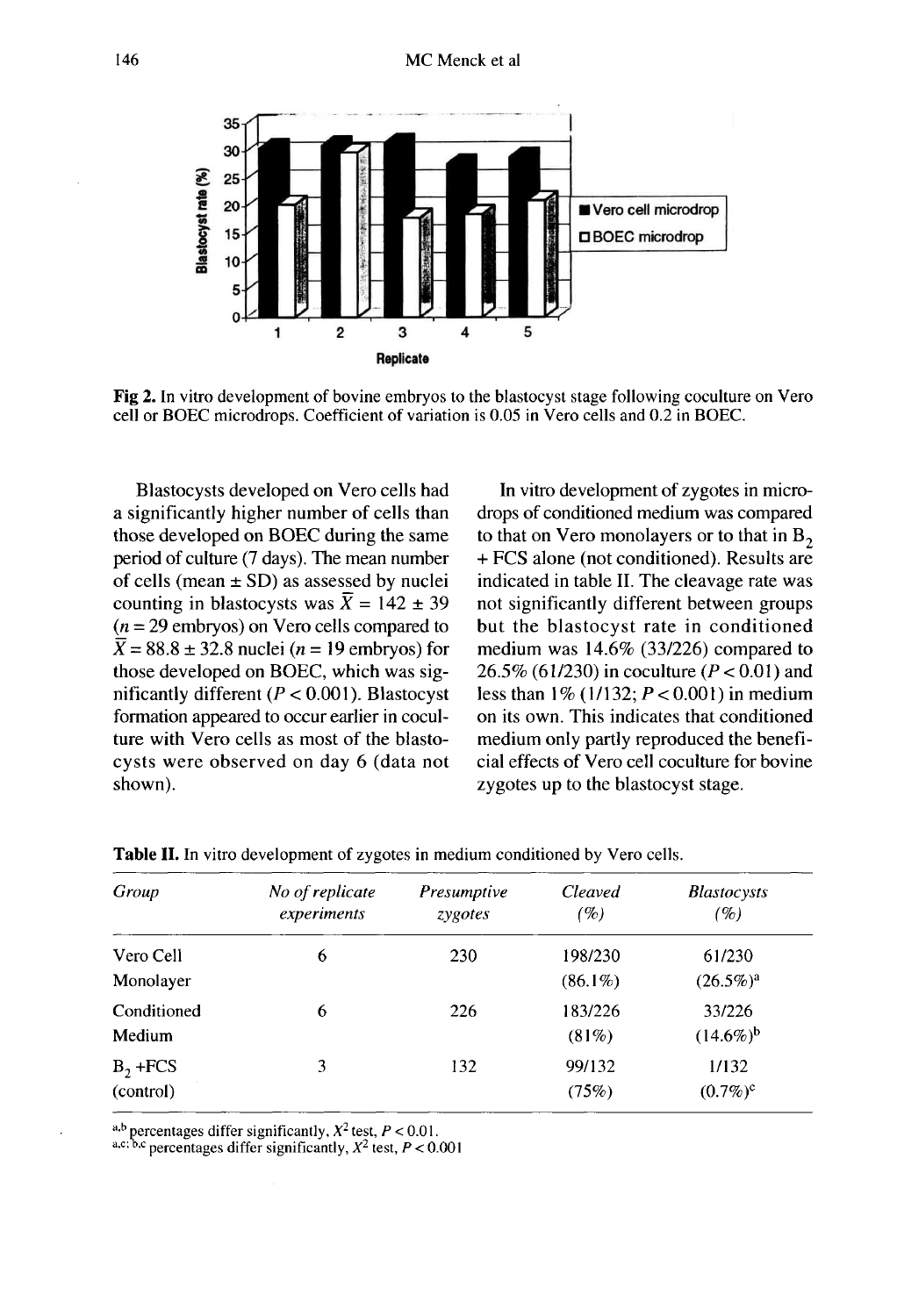

Fig 2. In vitro development of bovine embryos to the blastocyst stage following coculture on Vero cell or BOEC microdrops. Coefficient of variation is 0.05 in Vero cells and 0.2 in BOEC.

Blastocysts developed on Vero cells had a significantly higher number of cells than those developed on BOEC during the same period of culture (7 days). The mean number of cells (mean  $\pm$  SD) as assessed by nuclei counting in blastocysts was  $\overline{X} = 142 \pm 39$  $(n = 29$  embryos) on Vero cells compared to  $\overline{X}$  = 88.8 ± 32.8 nuclei (*n* = 19 embryos) for those developed on BOEC, which was significantly different ( $P < 0.001$ ). Blastocyst formation appeared to occur earlier in coculture with Vero cells as most of the blastocysts were observed on day 6 (data not shown).

In vitro development of zygotes in micro-<br>drops of conditioned medium was compared to that on Vero monolayers or to that in  $B_2$ <br>+ FCS alone (not conditioned). Results are indicated in table II. The cleavage rate was not significantly different between groups but the blastocyst rate in conditioned medium was 14.6% (33/226) compared to 26.5% (61/230) in coculture ( $P < 0.01$ ) and less than  $1\%$  (1/132;  $P < 0.001$ ) in medium on its own. This indicates that conditioned medium only partly reproduced the beneficial effects of Vero cell coculture for bovine zygotes up to the blastocyst stage.

| Group                   | No of replicate<br>experiments | Presumptive<br>zygotes | <b>Cleaved</b><br>(%) | <b>Blastocysts</b><br>(%) |
|-------------------------|--------------------------------|------------------------|-----------------------|---------------------------|
| Vero Cell<br>Monolayer  | 6                              | 230                    | 198/230<br>$(86.1\%)$ | 61/230<br>$(26.5\%)^a$    |
| Conditioned<br>Medium   | 6                              | 226                    | 183/226<br>$(81\%)$   | 33/226<br>$(14.6\%)^b$    |
| $B_2$ +FCS<br>(control) | 3                              | 132                    | 99/132<br>(75%)       | 1/132<br>$(0.7\%)^c$      |

Table II. In vitro development of zygotes in medium conditioned by Vero cells.

a,b percentages differ significantly,  $X^2$  test,  $P < 0.01$ .<br>a,c; b,c percentages differ significantly,  $X^2$  test,  $P < 0.001$ .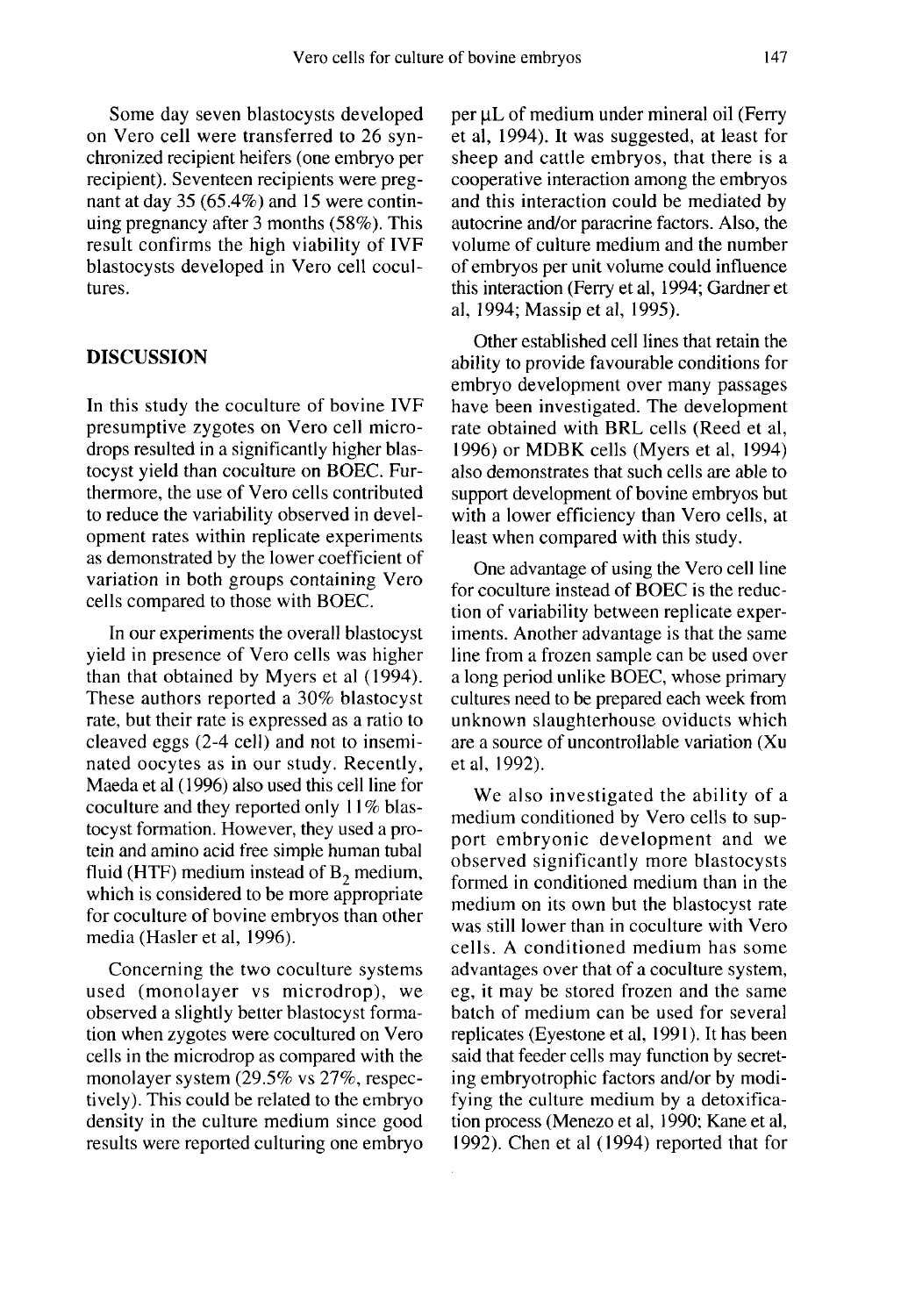Some day seven blastocysts developed on Vero cell were transferred to 26 synchronized recipient heifers (one embryo per recipient). Seventeen recipients were pregnant at day 35 (65.4%) and 15 were continuing pregnancy after 3 months (58%). This result confirms the high viability of IVF blastocysts developed in Vero cell cocultures.

#### DISCUSSION

In this study the coculture of bovine IVF presumptive zygotes on Vero cell microdrops resulted in a significantly higher blastocyst yield than coculture on BOEC. Furthermore, the use of Vero cells contributed to reduce the variability observed in development rates within replicate experiments as demonstrated by the lower coefficient of variation in both groups containing Vero cells compared to those with BOEC.

In our experiments the overall blastocyst yield in presence of Vero cells was higher than that obtained by Myers et al (1994). These authors reported a 30% blastocyst rate, but their rate is expressed as a ratio to cleaved eggs (2-4 cell) and not to inseminated oocytes as in our study. Recently, Maeda et al (1996) also used this cell line for coculture and they reported only 11% blastocyst formation. However, they used a protein and amino acid free simple human tubal fluid (HTF) medium instead of  $B_2$  medium, which is considered to be more appropriate for coculture of bovine embryos than other media (Hasler et al, 1996).

Concerning the two coculture systems used (monolayer vs microdrop), we observed a slightly better blastocyst formation when zygotes were cocultured on Vero cells in the microdrop as compared with the monolayer system (29.5% vs 27%, respectively). This could be related to the embryo density in the culture medium since good results were reported culturing one embryo per  $\mu$ L of medium under mineral oil (Ferry et al, 1994). It was suggested, at least for sheep and cattle embryos, that there is a cooperative interaction among the embryos and this interaction could be mediated by autocrine and/or paracrine factors. Also, the volume of culture medium and the number of embryos per unit volume could influence this interaction (Ferry et al, 1994; Gardner et al, 1994; Massip et al, 1995).

Other established cell lines that retain the ability to provide favourable conditions for embryo development over many passages<br>have been investigated. The development rate obtained with BRL cells (Reed et al, 1996) or MDBK cells (Myers et al, 1994) also demonstrates that such cells are able to support development of bovine embryos but with a lower efficiency than Vero cells, at least when compared with this study.

One advantage of using the Vero cell line for coculture instead of BOEC is the reduction of variability between replicate experiments. Another advantage is that the same line from a frozen sample can be used over a long period unlike BOEC, whose primary cultures need to be prepared each week from unknown slaughterhouse oviducts which are a source of uncontrollable variation (Xu et al, 1992).

We also investigated the ability of a medium conditioned by Vero cells to support embryonic development and we observed significantly more blastocysts formed in conditioned medium than in the medium on its own but the blastocyst rate was still lower than in coculture with Vero cells. A conditioned medium has some advantages over that of a coculture system, eg, it may be stored frozen and the same batch of medium can be used for several replicates (Eyestone et al, 1991 ). It has been said that feeder cells may function by secreting embryotrophic factors and/or by modifying the culture medium by a detoxification process (Menezo et al, 1990; Kane et al, 1992). Chen et al (1994) reported that for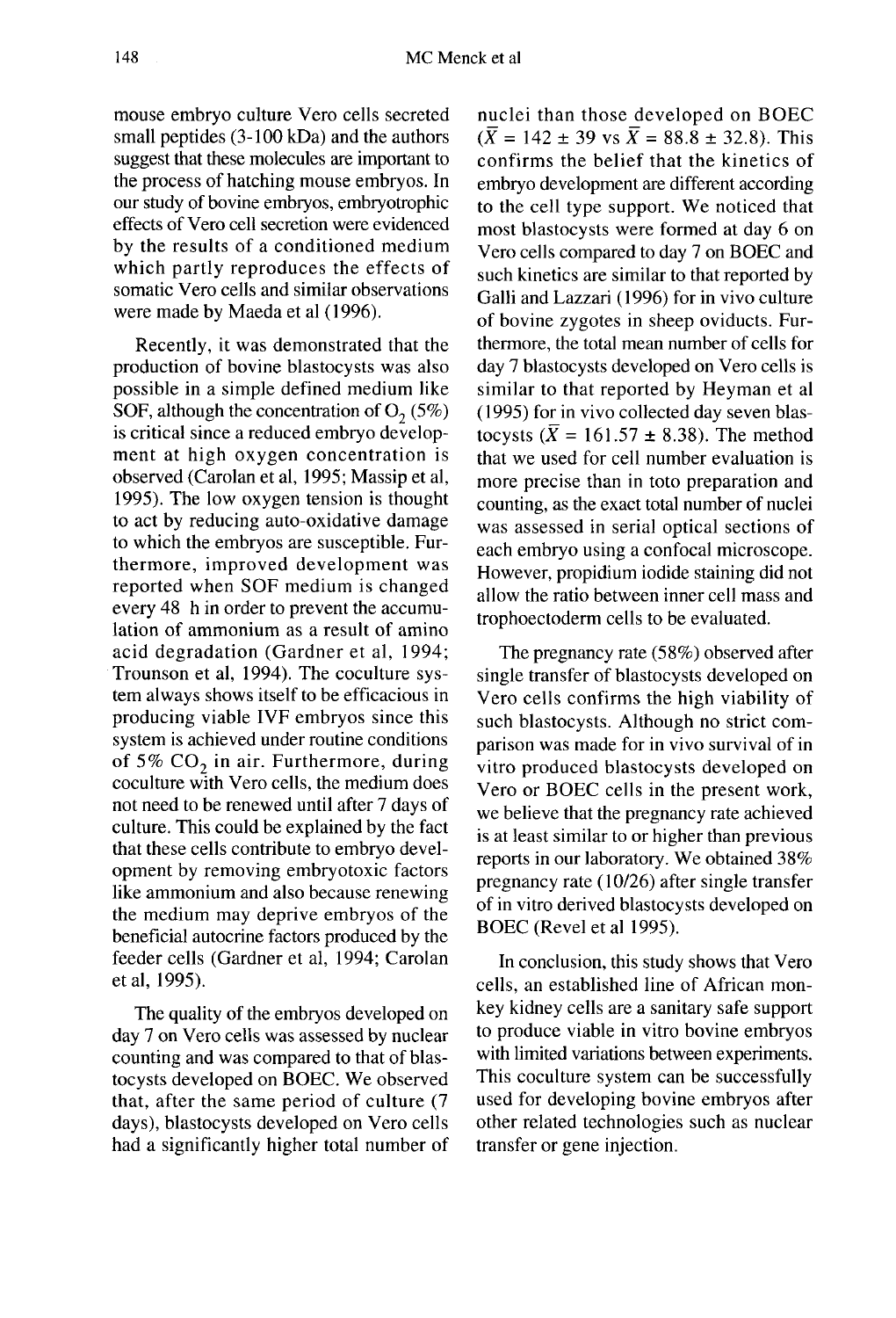mouse embryo culture Vero cells secreted small peptides (3-100 kDa) and the authors suggest that these molecules are important to the process of hatching mouse embryos. In our study of bovine embryos, embryotrophic effects of Vero cell secretion were evidenced by the results of a conditioned medium which partly reproduces the effects of somatic Vero cells and similar observations were made by Maeda et al ( 1996).

Recently, it was demonstrated that the production of bovine blastocysts was also possible in a simple defined medium like SOF, although the concentration of  $O_2(5\%)$ is critical since a reduced embryo develop ment at high oxygen concentration is observed (Carolan et al, 1995; Massip et al, 1995). The low oxygen tension is thought to act by reducing auto-oxidative damage to which the embryos are susceptible. Furthermore, improved development was reported when SOF medium is changed every 48 h in order to prevent the accumulation of ammonium as a result of amino acid degradation (Gardner et al, 1994; Trounson et al, 1994). The coculture system always shows itself to be efficacious in producing viable IVF embryos since this system is achieved under routine conditions of 5%  $CO<sub>2</sub>$  in air. Furthermore, during coculture with Vero cells, the medium does not need to be renewed until after 7 days of culture. This could be explained by the fact that these cells contribute to embryo development by removing embryotoxic factors like ammonium and also because renewing the medium may deprive embryos of the beneficial autocrine factors produced by the feeder cells (Gardner et al, 1994; Carolan et al, 1995).

The quality of the embryos developed on day 7 on Vero cells was assessed by nuclear counting and was compared to that of blastocysts developed on BOEC. We observed that, after the same period of culture (7 days), blastocysts developed on Vero cells had a significantly higher total number of nuclei than those developed on BOEC  $(\overline{X} = 142 \pm 39 \text{ vs } \overline{X} = 88.8 \pm 32.8)$ . This confirms the belief that the kinetics of embryo development are different according to the cell type support. We noticed that most blastocysts were formed at day 6 on Vero cells compared to day 7 on BOEC and such kinetics are similar to that reported by Galli and Lazzari (1996) for in vivo culture of bovine zygotes in sheep oviducts. Furthermore, the total mean number of cells for day 7 blastocysts developed on Vero cells is similar to that reported by Heyman et al ( 1995) for in vivo collected day seven blastocysts ( $\overline{X}$  = 161.57  $\pm$  8.38). The method that we used for cell number evaluation is more precise than in toto preparation and counting, as the exact total number of nuclei was assessed in serial optical sections of each embryo using a confocal microscope. However, propidium iodide staining did not allow the ratio between inner cell mass and trophoectoderm cells to be evaluated.

The pregnancy rate (58%) observed after single transfer of blastocysts developed on Vero cells confirms the high viability of such blastocysts. Although no strict comparison was made for in vivo survival of in vitro produced blastocysts developed on Vero or BOEC cells in the present work, we believe that the pregnancy rate achieved is at least similar to or higher than previous reports in our laboratory. We obtained 38% pregnancy rate ( 10/26) after single transfer of in vitro derived blastocysts developed on BOEC (Revel et al 1995).

In conclusion, this study shows that Vero cells, an established line of African monkey kidney cells are a sanitary safe support to produce viable in vitro bovine embryos with limited variations between experiments. This coculture system can be successfully used for developing bovine embryos after other related technologies such as nuclear transfer or gene injection.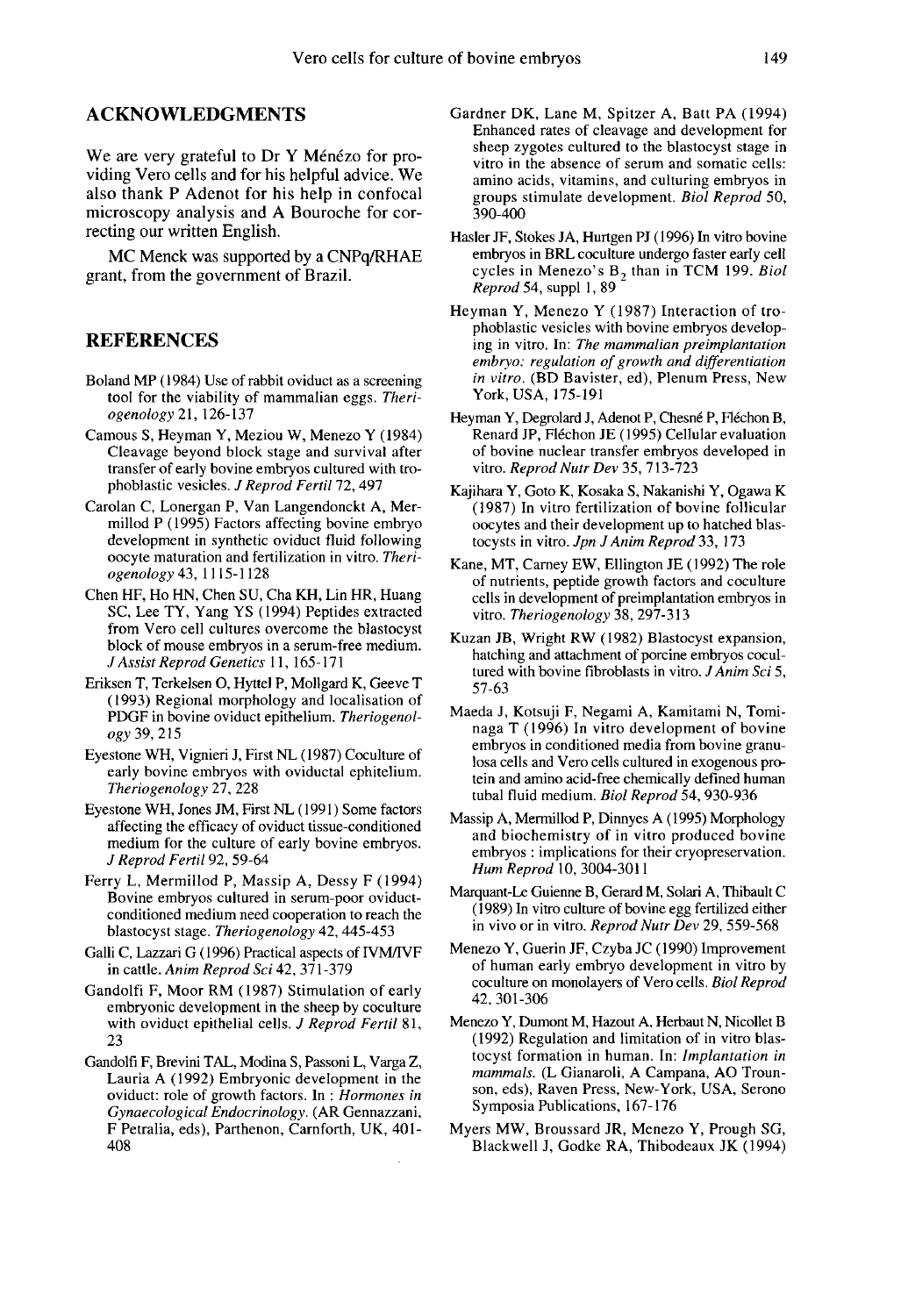#### ACKNOWLEDGMENTS

We are very grateful to Dr Y Ménézo for providing Vero cells and for his helpful advice. We also thank P Adenot for his help in confocal microscopy analysis and A Bouroche for correcting our written English.

MC Menck was supported by a CNPq/RHAE grant, from the government of Brazil.

## **REFERENCES**

- Boland MP (1984) Use of rabbit oviduct as a screening tool for the viability of mammalian eggs. Theriogenology 21,126-137
- Camous S, Heyman Y, Meziou W, Menezo Y (1984) Cleavage beyond block stage and survival after transfer of early bovine embryos cultured with trophoblastic vesicles. J Reprod Fertil 72, 497
- Carolan C, Lonergan P, Van Langendonckt A, Mermillod P (1995) Factors affecting bovine embryo development in synthetic oviduct fluid following oocyte maturation and fertilization in vitro. Theriogenology 43, 1115-1128
- Chen HF, Ho HN, Chen SU, Cha KH, Lin HR, Huang SC, Lee TY, Yang YS (1994) Peptides extracted from Vero cell cultures overcome the blastocyst block of mouse embryos in a serum-free medium. J Assist Reprod Genetics 11, 165-171
- Eriksen T, Terkelsen O, Hyttel P, Mollgard K, Geeve T (1993) Regional morphology and localisation of PDGF in bovine oviduct epithelium. Theriogenology 39, 215
- Eyestone WH, Vignieri J, First NL (1987) Coculture of early bovine embryos with oviductal ephitelium. Theriogenology 27, 228
- Eyestone WH, Jones JM, First NL (1991) Some factors affecting the efficacy of oviduct tissue-conditioned medium for the culture of early bovine embryos. J Reprod Fertil 92, 59-64
- Ferry L, Mermillod P, Massip A, Dessy F (1994) Bovine embryos cultured in serum-poor oviductconditioned medium need cooperation to reach the blastocyst stage. Theriogenology 42, 445-453
- Galli C, Lazzari G (1996) Practical aspects of IVM/IVF in cattle. Anim Reprod Sci 42, 371-379
- Gandolfi F, Moor RM (1987) Stimulation of early embryonic development in the sheep by coculture with oviduct epithelial cells. J Reprod Fertil 81, 23
- Gandolfi F, Brevini TAL, Modina S, Passoni L, Varga Z, Lauria A (1992) Embryonic development in the oviduct: role of growth factors. In : Hormones in Gynaecological Endocrinology. (AR Gennazzani, F Petralia, eds), Parthenon, Carnforth, UK, 401- 408
- Gardner DK, Lane M, Spitzer A, Batt PA (1994) Enhanced rates of cleavage and development for sheep zygotes cultured to the blastocyst stage in vitro in the absence of serum and somatic cells: amino acids, vitamins, and culturing embryos in groups stimulate development. Biol Reprod 50, 390-400
- Hasler JF, Stokes JA, Hurtgen PJ (1996) In vitro bovine embryos in BRL coculture undergo faster early cell cycles in Menezo's  $B_2$  than in TCM 199. Biol Reprod 54, suppl 1, 89
- Heyman Y, Menezo Y (1987) Interaction of trophoblastic vesicles with bovine embryos developing in vitro. In: The mammalian preimplantation<br>embryo: regulation of growth and differentiation in vitro. (BD Bavister, ed), Plenum Press, New York, USA, 175-191
- Heyman Y, Degrolard J, Adenot P, Chesné P, Fléchon B, Renard JP, F16chon JE (1995) Cellular evaluation of bovine nuclear transfer embryos developed in vitro. Reprod Nutr Dev 35, 713-723
- Kajihara Y, Goto K, Kosaka S, Nakanishi Y, Ogawa K (1987) In vitro fertilization of bovine follicular oocytes and their development up to hatched blastocysts in vitro. Jpn J Anim Reprod 33, 173
- Kane, MT, Carney EW, Ellington JE (1992) The role of nutrients, peptide growth factors and coculture cells in development of preimplantation embryos in vitro. Theriogenology 38, 297-313
- Kuzan JB, Wright RW (1982) Blastocyst expansion, hatching and attachment of porcine embryos cocultured with bovine fibroblasts in vitro. *J Anim Sci* 5, 57-63
- Maeda J, Kotsuji F, Negami A, Kamitami N, Tominaga T (1996) In vitro development of bovine embryos in conditioned media from bovine granu losa cells and Vero cells cultured in exogenous protein and amino acid-free chemically defined human tubal fluid medium. Biol Reprod 54, 930-936
- Massip A, Mermillod P, Dinnyes A (1995) Morphology and biochemistry of in vitro produced bovine embryos : implications for their cryopreservation. Hum Reprod 10, 3004-3011 1
- Marquant-Le Guienne B, Gerard M, Solari A, Thibault C (1989) In vitro culture of bovine egg fertilized either in vivo or in vitro. Reprod Nutr Dev 29, 559-568
- Menezo Y, Guerin JF, Czyba JC (1990) Improvement of human early embryo development in vitro by coculture on monolayers of Vero cells. Biot Reprod 42, 301-306
- Menezo Y, Dumont M, Hazout A, Herbaut N, Nicollet B (1992) Regulation and limitation of in vitro blastocyst formation in human. In: lmplantation in mammals. (L Gianaroli, A Campana, AO Trounson, eds), Raven Press, New-York, USA, Serono Symposia Publications, 167-176
- Myers MW, Broussard JR, Menezo Y, Prough SG, Blackwell J, Godke RA, Thibodeaux JK (1994)